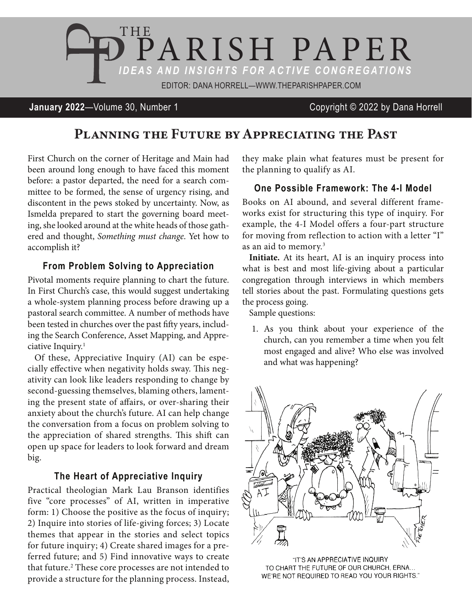

## **January 2022**—Volume 30, Number 1 Copyright © 2022 by Dana Horrell

# Planning the Future by Appreciating the Past

First Church on the corner of Heritage and Main had been around long enough to have faced this moment before: a pastor departed, the need for a search committee to be formed, the sense of urgency rising, and discontent in the pews stoked by uncertainty. Now, as Ismelda prepared to start the governing board meeting, she looked around at the white heads of those gathered and thought, *Something must change*. Yet how to accomplish it?

#### **From Problem Solving to Appreciation**

Pivotal moments require planning to chart the future. In First Church's case, this would suggest undertaking a whole-system planning process before drawing up a pastoral search committee. A number of methods have been tested in churches over the past fifty years, including the Search Conference, Asset Mapping, and Appreciative Inquiry.1

Of these, Appreciative Inquiry (AI) can be especially effective when negativity holds sway. This negativity can look like leaders responding to change by second-guessing themselves, blaming others, lamenting the present state of affairs, or over-sharing their anxiety about the church's future. AI can help change the conversation from a focus on problem solving to the appreciation of shared strengths. This shift can open up space for leaders to look forward and dream big.

#### **The Heart of Appreciative Inquiry**

Practical theologian Mark Lau Branson identifies five "core processes" of AI, written in imperative form: 1) Choose the positive as the focus of inquiry; 2) Inquire into stories of life-giving forces; 3) Locate themes that appear in the stories and select topics for future inquiry; 4) Create shared images for a preferred future; and 5) Find innovative ways to create that future.2 These core processes are not intended to provide a structure for the planning process. Instead,

they make plain what features must be present for the planning to qualify as AI.

#### **One Possible Framework: The 4-I Model**

Books on AI abound, and several different frameworks exist for structuring this type of inquiry. For example, the 4-I Model offers a four-part structure for moving from reflection to action with a letter "I" as an aid to memory.3

**Initiate.** At its heart, AI is an inquiry process into what is best and most life-giving about a particular congregation through interviews in which members tell stories about the past. Formulating questions gets the process going.

Sample questions:

1. As you think about your experience of the church, can you remember a time when you felt most engaged and alive? Who else was involved and what was happening?



"IT'S AN APPRECIATIVE INQUIRY TO CHART THE FUTURE OF OUR CHURCH, ERNA... WE'RE NOT REQUIRED TO READ YOU YOUR RIGHTS."